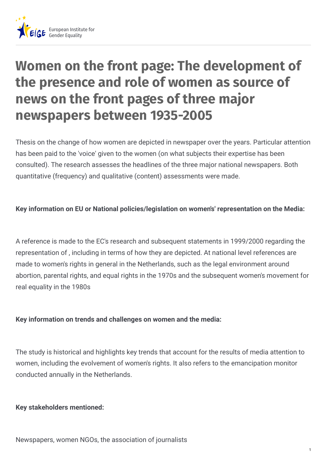

# **Women on the front page: The development of the presence and role of women as source of news on the front pages of three major newspapers between 1935-2005**

Thesis on the change of how women are depicted in newspaper over the years. Particular attention has been paid to the 'voice' given to the women (on what subjects their expertise has been consulted). The research assesses the headlines of the three major national newspapers. Both quantitative (frequency) and qualitative (content) assessments were made.

## **Key information on EU or National policies/legislation on women's' representation on the Media:**

A reference is made to the EC's research and subsequent statements in 1999/2000 regarding the representation of , including in terms of how they are depicted. At national level references are made to women's rights in general in the Netherlands, such as the legal environment around abortion, parental rights, and equal rights in the 1970s and the subsequent women's movement for real equality in the 1980s

## **Key information on trends and challenges on women and the media:**

The study is historical and highlights key trends that account for the results of media attention to women, including the evolvement of women's rights. It also refers to the emancipation monitor conducted annually in the Netherlands.

#### **Key stakeholders mentioned:**

Newspapers, women NGOs, the association of journalists